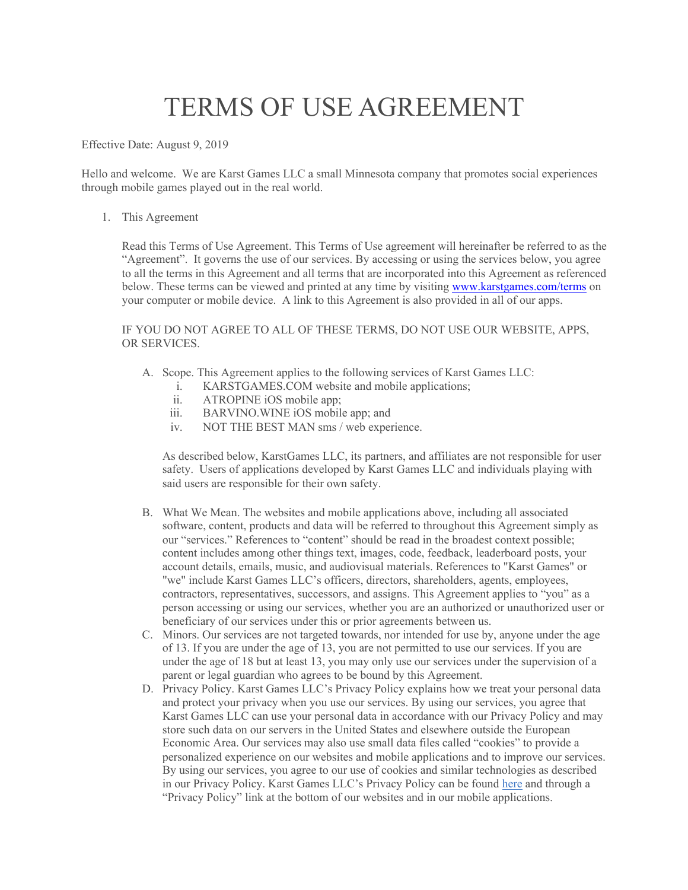## TERMS OF USE AGREEMENT

Effective Date: August 9, 2019

Hello and welcome. We are Karst Games LLC a small Minnesota company that promotes social experiences through mobile games played out in the real world.

1. This Agreement

Read this Terms of Use Agreement. This Terms of Use agreement will hereinafter be referred to as the "Agreement". It governs the use of our services. By accessing or using the services below, you agree to all the terms in this Agreement and all terms that are incorporated into this Agreement as referenced below. These terms can be viewed and printed at any time by visiting www.karstgames.com/terms on your computer or mobile device. A link to this Agreement is also provided in all of our apps.

IF YOU DO NOT AGREE TO ALL OF THESE TERMS, DO NOT USE OUR WEBSITE, APPS, OR SERVICES.

- A. Scope. This Agreement applies to the following services of Karst Games LLC:
	- i. KARSTGAMES.COM website and mobile applications;
	- ii. ATROPINE iOS mobile app;
	- iii. BARVINO.WINE iOS mobile app; and
	- iv. NOT THE BEST MAN sms / web experience.

As described below, KarstGames LLC, its partners, and affiliates are not responsible for user safety. Users of applications developed by Karst Games LLC and individuals playing with said users are responsible for their own safety.

- B. What We Mean. The websites and mobile applications above, including all associated software, content, products and data will be referred to throughout this Agreement simply as our "services." References to "content" should be read in the broadest context possible; content includes among other things text, images, code, feedback, leaderboard posts, your account details, emails, music, and audiovisual materials. References to "Karst Games" or "we" include Karst Games LLC's officers, directors, shareholders, agents, employees, contractors, representatives, successors, and assigns. This Agreement applies to "you" as a person accessing or using our services, whether you are an authorized or unauthorized user or beneficiary of our services under this or prior agreements between us.
- C. Minors. Our services are not targeted towards, nor intended for use by, anyone under the age of 13. If you are under the age of 13, you are not permitted to use our services. If you are under the age of 18 but at least 13, you may only use our services under the supervision of a parent or legal guardian who agrees to be bound by this Agreement.
- D. Privacy Policy. Karst Games LLC's Privacy Policy explains how we treat your personal data and protect your privacy when you use our services. By using our services, you agree that Karst Games LLC can use your personal data in accordance with our Privacy Policy and may store such data on our servers in the United States and elsewhere outside the European Economic Area. Our services may also use small data files called "cookies" to provide a personalized experience on our websites and mobile applications and to improve our services. By using our services, you agree to our use of cookies and similar technologies as described in our Privacy Policy. Karst Games LLC's Privacy Policy can be found here and through a "Privacy Policy" link at the bottom of our websites and in our mobile applications.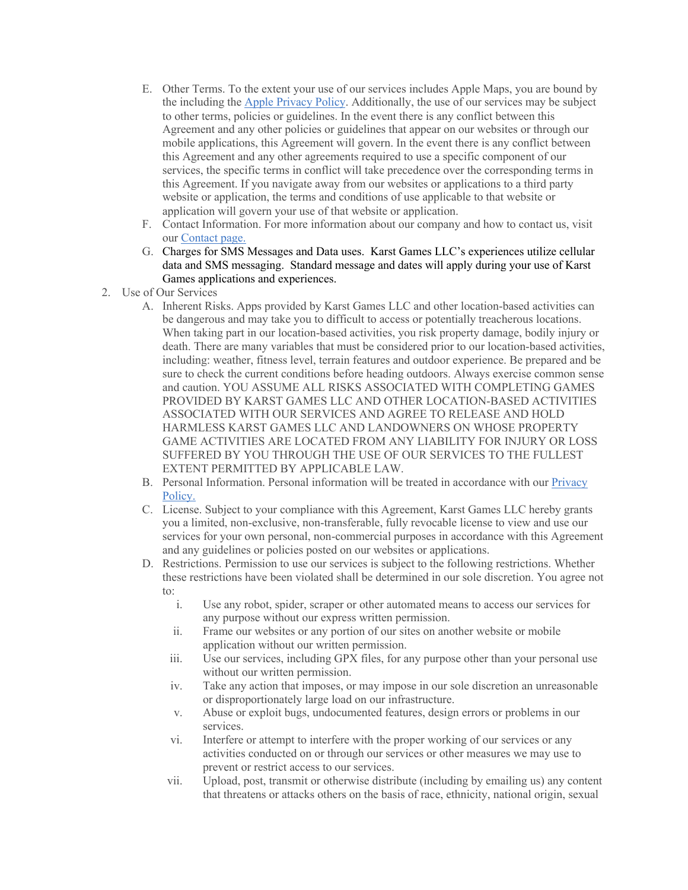- E. Other Terms. To the extent your use of our services includes Apple Maps, you are bound by the including the Apple Privacy Policy. Additionally, the use of our services may be subject to other terms, policies or guidelines. In the event there is any conflict between this Agreement and any other policies or guidelines that appear on our websites or through our mobile applications, this Agreement will govern. In the event there is any conflict between this Agreement and any other agreements required to use a specific component of our services, the specific terms in conflict will take precedence over the corresponding terms in this Agreement. If you navigate away from our websites or applications to a third party website or application, the terms and conditions of use applicable to that website or application will govern your use of that website or application.
- F. Contact Information. For more information about our company and how to contact us, visit our Contact page.
- G. Charges for SMS Messages and Data uses. Karst Games LLC's experiences utilize cellular data and SMS messaging. Standard message and dates will apply during your use of Karst Games applications and experiences.
- 2. Use of Our Services
	- A. Inherent Risks. Apps provided by Karst Games LLC and other location-based activities can be dangerous and may take you to difficult to access or potentially treacherous locations. When taking part in our location-based activities, you risk property damage, bodily injury or death. There are many variables that must be considered prior to our location-based activities, including: weather, fitness level, terrain features and outdoor experience. Be prepared and be sure to check the current conditions before heading outdoors. Always exercise common sense and caution. YOU ASSUME ALL RISKS ASSOCIATED WITH COMPLETING GAMES PROVIDED BY KARST GAMES LLC AND OTHER LOCATION-BASED ACTIVITIES ASSOCIATED WITH OUR SERVICES AND AGREE TO RELEASE AND HOLD HARMLESS KARST GAMES LLC AND LANDOWNERS ON WHOSE PROPERTY GAME ACTIVITIES ARE LOCATED FROM ANY LIABILITY FOR INJURY OR LOSS SUFFERED BY YOU THROUGH THE USE OF OUR SERVICES TO THE FULLEST EXTENT PERMITTED BY APPLICABLE LAW.
	- B. Personal Information. Personal information will be treated in accordance with our **Privacy** Policy.
	- C. License. Subject to your compliance with this Agreement, Karst Games LLC hereby grants you a limited, non-exclusive, non-transferable, fully revocable license to view and use our services for your own personal, non-commercial purposes in accordance with this Agreement and any guidelines or policies posted on our websites or applications.
	- D. Restrictions. Permission to use our services is subject to the following restrictions. Whether these restrictions have been violated shall be determined in our sole discretion. You agree not to:
		- i. Use any robot, spider, scraper or other automated means to access our services for any purpose without our express written permission.
		- ii. Frame our websites or any portion of our sites on another website or mobile application without our written permission.
		- iii. Use our services, including GPX files, for any purpose other than your personal use without our written permission.
		- iv. Take any action that imposes, or may impose in our sole discretion an unreasonable or disproportionately large load on our infrastructure.
		- v. Abuse or exploit bugs, undocumented features, design errors or problems in our services.
		- vi. Interfere or attempt to interfere with the proper working of our services or any activities conducted on or through our services or other measures we may use to prevent or restrict access to our services.
		- vii. Upload, post, transmit or otherwise distribute (including by emailing us) any content that threatens or attacks others on the basis of race, ethnicity, national origin, sexual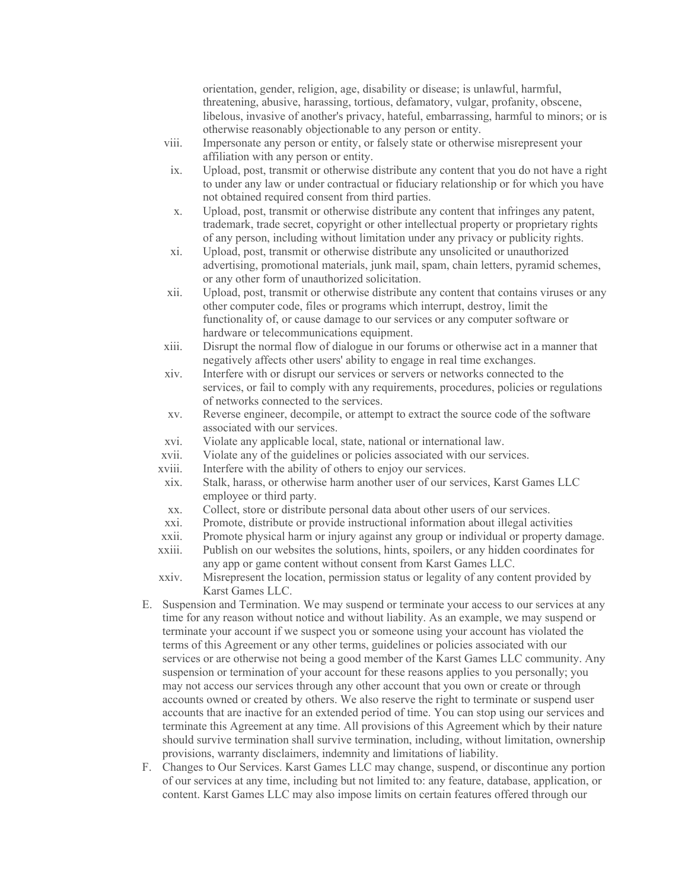orientation, gender, religion, age, disability or disease; is unlawful, harmful, threatening, abusive, harassing, tortious, defamatory, vulgar, profanity, obscene, libelous, invasive of another's privacy, hateful, embarrassing, harmful to minors; or is otherwise reasonably objectionable to any person or entity.

- viii. Impersonate any person or entity, or falsely state or otherwise misrepresent your affiliation with any person or entity.
- ix. Upload, post, transmit or otherwise distribute any content that you do not have a right to under any law or under contractual or fiduciary relationship or for which you have not obtained required consent from third parties.
- x. Upload, post, transmit or otherwise distribute any content that infringes any patent, trademark, trade secret, copyright or other intellectual property or proprietary rights of any person, including without limitation under any privacy or publicity rights.
- xi. Upload, post, transmit or otherwise distribute any unsolicited or unauthorized advertising, promotional materials, junk mail, spam, chain letters, pyramid schemes, or any other form of unauthorized solicitation.
- xii. Upload, post, transmit or otherwise distribute any content that contains viruses or any other computer code, files or programs which interrupt, destroy, limit the functionality of, or cause damage to our services or any computer software or hardware or telecommunications equipment.
- xiii. Disrupt the normal flow of dialogue in our forums or otherwise act in a manner that negatively affects other users' ability to engage in real time exchanges.
- xiv. Interfere with or disrupt our services or servers or networks connected to the services, or fail to comply with any requirements, procedures, policies or regulations of networks connected to the services.
- xv. Reverse engineer, decompile, or attempt to extract the source code of the software associated with our services.
- xvi. Violate any applicable local, state, national or international law.
- xvii. Violate any of the guidelines or policies associated with our services.
- xviii. Interfere with the ability of others to enjoy our services.
- xix. Stalk, harass, or otherwise harm another user of our services, Karst Games LLC employee or third party.
- xx. Collect, store or distribute personal data about other users of our services.
- xxi. Promote, distribute or provide instructional information about illegal activities
- xxii. Promote physical harm or injury against any group or individual or property damage.
- xxiii. Publish on our websites the solutions, hints, spoilers, or any hidden coordinates for any app or game content without consent from Karst Games LLC.
- xxiv. Misrepresent the location, permission status or legality of any content provided by Karst Games LLC.
- E. Suspension and Termination. We may suspend or terminate your access to our services at any time for any reason without notice and without liability. As an example, we may suspend or terminate your account if we suspect you or someone using your account has violated the terms of this Agreement or any other terms, guidelines or policies associated with our services or are otherwise not being a good member of the Karst Games LLC community. Any suspension or termination of your account for these reasons applies to you personally; you may not access our services through any other account that you own or create or through accounts owned or created by others. We also reserve the right to terminate or suspend user accounts that are inactive for an extended period of time. You can stop using our services and terminate this Agreement at any time. All provisions of this Agreement which by their nature should survive termination shall survive termination, including, without limitation, ownership provisions, warranty disclaimers, indemnity and limitations of liability.
- F. Changes to Our Services. Karst Games LLC may change, suspend, or discontinue any portion of our services at any time, including but not limited to: any feature, database, application, or content. Karst Games LLC may also impose limits on certain features offered through our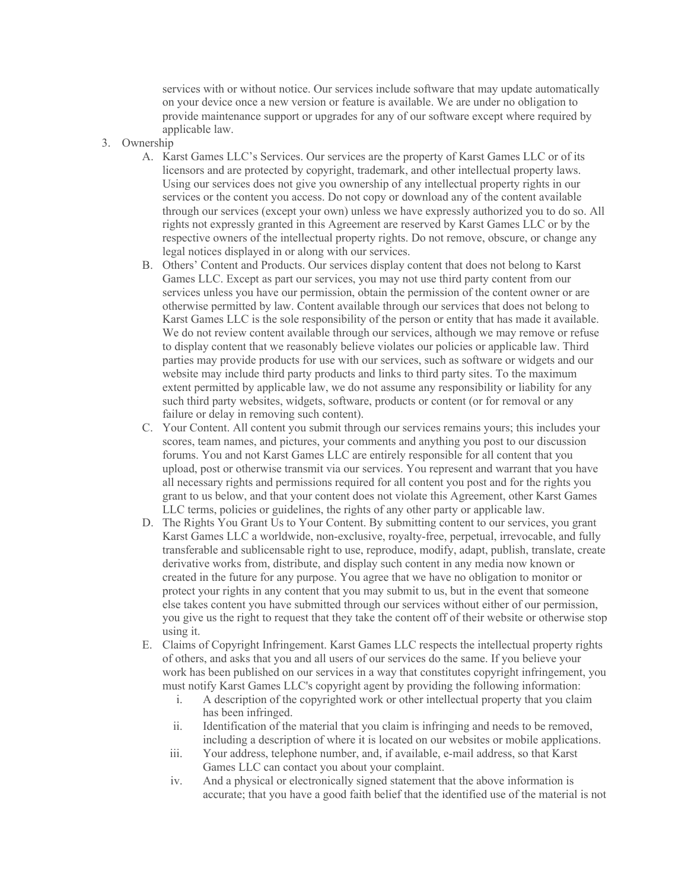services with or without notice. Our services include software that may update automatically on your device once a new version or feature is available. We are under no obligation to provide maintenance support or upgrades for any of our software except where required by applicable law.

- 3. Ownership
	- A. Karst Games LLC's Services. Our services are the property of Karst Games LLC or of its licensors and are protected by copyright, trademark, and other intellectual property laws. Using our services does not give you ownership of any intellectual property rights in our services or the content you access. Do not copy or download any of the content available through our services (except your own) unless we have expressly authorized you to do so. All rights not expressly granted in this Agreement are reserved by Karst Games LLC or by the respective owners of the intellectual property rights. Do not remove, obscure, or change any legal notices displayed in or along with our services.
	- B. Others' Content and Products. Our services display content that does not belong to Karst Games LLC. Except as part our services, you may not use third party content from our services unless you have our permission, obtain the permission of the content owner or are otherwise permitted by law. Content available through our services that does not belong to Karst Games LLC is the sole responsibility of the person or entity that has made it available. We do not review content available through our services, although we may remove or refuse to display content that we reasonably believe violates our policies or applicable law. Third parties may provide products for use with our services, such as software or widgets and our website may include third party products and links to third party sites. To the maximum extent permitted by applicable law, we do not assume any responsibility or liability for any such third party websites, widgets, software, products or content (or for removal or any failure or delay in removing such content).
	- C. Your Content. All content you submit through our services remains yours; this includes your scores, team names, and pictures, your comments and anything you post to our discussion forums. You and not Karst Games LLC are entirely responsible for all content that you upload, post or otherwise transmit via our services. You represent and warrant that you have all necessary rights and permissions required for all content you post and for the rights you grant to us below, and that your content does not violate this Agreement, other Karst Games LLC terms, policies or guidelines, the rights of any other party or applicable law.
	- D. The Rights You Grant Us to Your Content. By submitting content to our services, you grant Karst Games LLC a worldwide, non-exclusive, royalty-free, perpetual, irrevocable, and fully transferable and sublicensable right to use, reproduce, modify, adapt, publish, translate, create derivative works from, distribute, and display such content in any media now known or created in the future for any purpose. You agree that we have no obligation to monitor or protect your rights in any content that you may submit to us, but in the event that someone else takes content you have submitted through our services without either of our permission, you give us the right to request that they take the content off of their website or otherwise stop using it.
	- E. Claims of Copyright Infringement. Karst Games LLC respects the intellectual property rights of others, and asks that you and all users of our services do the same. If you believe your work has been published on our services in a way that constitutes copyright infringement, you must notify Karst Games LLC's copyright agent by providing the following information:
		- i. A description of the copyrighted work or other intellectual property that you claim has been infringed.
		- ii. Identification of the material that you claim is infringing and needs to be removed, including a description of where it is located on our websites or mobile applications.
		- iii. Your address, telephone number, and, if available, e-mail address, so that Karst Games LLC can contact you about your complaint.
		- iv. And a physical or electronically signed statement that the above information is accurate; that you have a good faith belief that the identified use of the material is not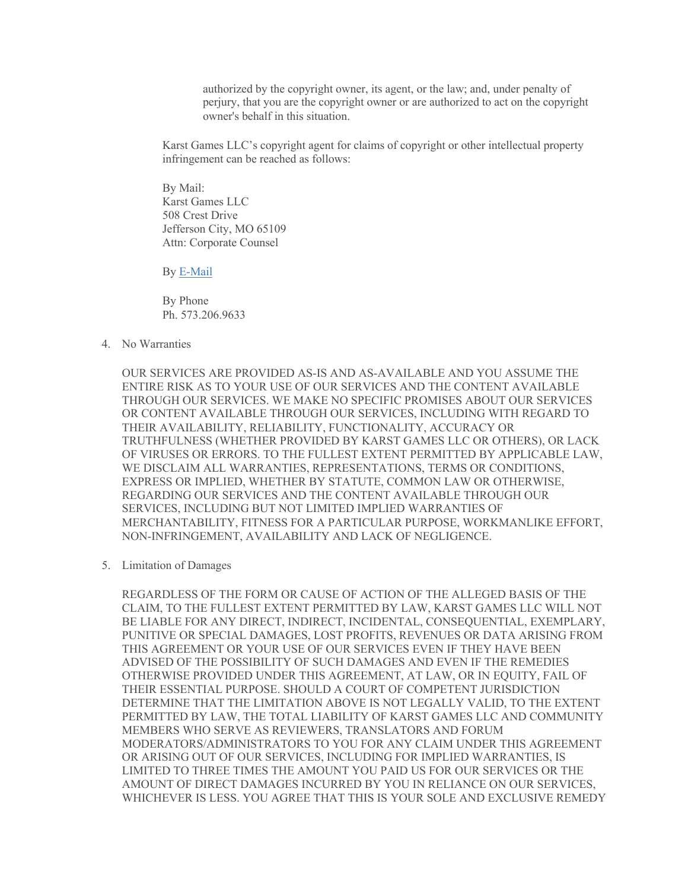authorized by the copyright owner, its agent, or the law; and, under penalty of perjury, that you are the copyright owner or are authorized to act on the copyright owner's behalf in this situation.

Karst Games LLC's copyright agent for claims of copyright or other intellectual property infringement can be reached as follows:

By Mail: Karst Games LLC 508 Crest Drive Jefferson City, MO 65109 Attn: Corporate Counsel

By E-Mail

By Phone Ph. 573.206.9633

4. No Warranties

OUR SERVICES ARE PROVIDED AS-IS AND AS-AVAILABLE AND YOU ASSUME THE ENTIRE RISK AS TO YOUR USE OF OUR SERVICES AND THE CONTENT AVAILABLE THROUGH OUR SERVICES. WE MAKE NO SPECIFIC PROMISES ABOUT OUR SERVICES OR CONTENT AVAILABLE THROUGH OUR SERVICES, INCLUDING WITH REGARD TO THEIR AVAILABILITY, RELIABILITY, FUNCTIONALITY, ACCURACY OR TRUTHFULNESS (WHETHER PROVIDED BY KARST GAMES LLC OR OTHERS), OR LACK OF VIRUSES OR ERRORS. TO THE FULLEST EXTENT PERMITTED BY APPLICABLE LAW, WE DISCLAIM ALL WARRANTIES, REPRESENTATIONS, TERMS OR CONDITIONS, EXPRESS OR IMPLIED, WHETHER BY STATUTE, COMMON LAW OR OTHERWISE, REGARDING OUR SERVICES AND THE CONTENT AVAILABLE THROUGH OUR SERVICES, INCLUDING BUT NOT LIMITED IMPLIED WARRANTIES OF MERCHANTABILITY, FITNESS FOR A PARTICULAR PURPOSE, WORKMANLIKE EFFORT, NON-INFRINGEMENT, AVAILABILITY AND LACK OF NEGLIGENCE.

5. Limitation of Damages

REGARDLESS OF THE FORM OR CAUSE OF ACTION OF THE ALLEGED BASIS OF THE CLAIM, TO THE FULLEST EXTENT PERMITTED BY LAW, KARST GAMES LLC WILL NOT BE LIABLE FOR ANY DIRECT, INDIRECT, INCIDENTAL, CONSEQUENTIAL, EXEMPLARY, PUNITIVE OR SPECIAL DAMAGES, LOST PROFITS, REVENUES OR DATA ARISING FROM THIS AGREEMENT OR YOUR USE OF OUR SERVICES EVEN IF THEY HAVE BEEN ADVISED OF THE POSSIBILITY OF SUCH DAMAGES AND EVEN IF THE REMEDIES OTHERWISE PROVIDED UNDER THIS AGREEMENT, AT LAW, OR IN EQUITY, FAIL OF THEIR ESSENTIAL PURPOSE. SHOULD A COURT OF COMPETENT JURISDICTION DETERMINE THAT THE LIMITATION ABOVE IS NOT LEGALLY VALID, TO THE EXTENT PERMITTED BY LAW, THE TOTAL LIABILITY OF KARST GAMES LLC AND COMMUNITY MEMBERS WHO SERVE AS REVIEWERS, TRANSLATORS AND FORUM MODERATORS/ADMINISTRATORS TO YOU FOR ANY CLAIM UNDER THIS AGREEMENT OR ARISING OUT OF OUR SERVICES, INCLUDING FOR IMPLIED WARRANTIES, IS LIMITED TO THREE TIMES THE AMOUNT YOU PAID US FOR OUR SERVICES OR THE AMOUNT OF DIRECT DAMAGES INCURRED BY YOU IN RELIANCE ON OUR SERVICES, WHICHEVER IS LESS. YOU AGREE THAT THIS IS YOUR SOLE AND EXCLUSIVE REMEDY